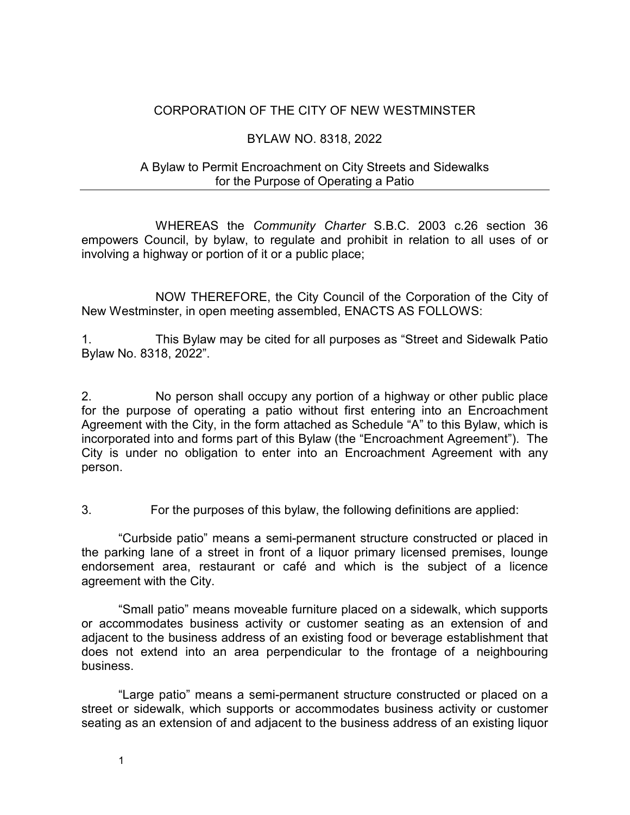### CORPORATION OF THE CITY OF NEW WESTMINSTER

### BYLAW NO. 8318, 2022

### A Bylaw to Permit Encroachment on City Streets and Sidewalks for the Purpose of Operating a Patio

WHEREAS the *Community Charter* S.B.C. 2003 c.26 section 36 empowers Council, by bylaw, to regulate and prohibit in relation to all uses of or involving a highway or portion of it or a public place;

NOW THEREFORE, the City Council of the Corporation of the City of New Westminster, in open meeting assembled, ENACTS AS FOLLOWS:

1. This Bylaw may be cited for all purposes as "Street and Sidewalk Patio Bylaw No. 8318, 2022".

2. No person shall occupy any portion of a highway or other public place for the purpose of operating a patio without first entering into an Encroachment Agreement with the City, in the form attached as Schedule "A" to this Bylaw, which is incorporated into and forms part of this Bylaw (the "Encroachment Agreement"). The City is under no obligation to enter into an Encroachment Agreement with any person.

3. For the purposes of this bylaw, the following definitions are applied:

"Curbside patio" means a semi-permanent structure constructed or placed in the parking lane of a street in front of a liquor primary licensed premises, lounge endorsement area, restaurant or café and which is the subject of a licence agreement with the City.

"Small patio" means moveable furniture placed on a sidewalk, which supports or accommodates business activity or customer seating as an extension of and adjacent to the business address of an existing food or beverage establishment that does not extend into an area perpendicular to the frontage of a neighbouring business.

"Large patio" means a semi-permanent structure constructed or placed on a street or sidewalk, which supports or accommodates business activity or customer seating as an extension of and adjacent to the business address of an existing liquor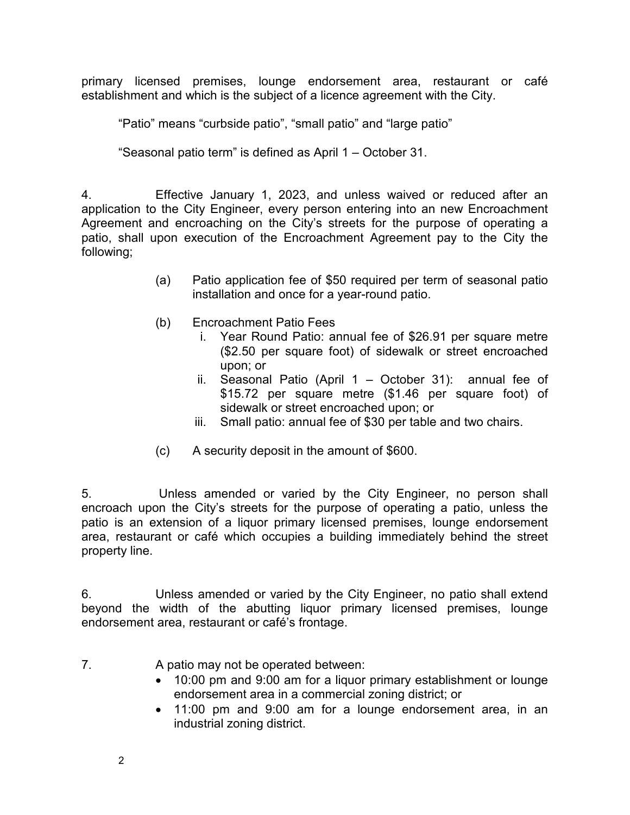primary licensed premises, lounge endorsement area, restaurant or café establishment and which is the subject of a licence agreement with the City.

"Patio" means "curbside patio", "small patio" and "large patio"

"Seasonal patio term" is defined as April 1 – October 31.

4. Effective January 1, 2023, and unless waived or reduced after an application to the City Engineer, every person entering into an new Encroachment Agreement and encroaching on the City's streets for the purpose of operating a patio, shall upon execution of the Encroachment Agreement pay to the City the following;

- (a) Patio application fee of \$50 required per term of seasonal patio installation and once for a year-round patio.
- (b) Encroachment Patio Fees
	- i. Year Round Patio: annual fee of \$26.91 per square metre (\$2.50 per square foot) of sidewalk or street encroached upon; or
	- ii. Seasonal Patio (April 1 October 31): annual fee of \$15.72 per square metre (\$1.46 per square foot) of sidewalk or street encroached upon; or
	- iii. Small patio: annual fee of \$30 per table and two chairs.
- (c) A security deposit in the amount of \$600.

5. Unless amended or varied by the City Engineer, no person shall encroach upon the City's streets for the purpose of operating a patio, unless the patio is an extension of a liquor primary licensed premises, lounge endorsement area, restaurant or café which occupies a building immediately behind the street property line.

6. Unless amended or varied by the City Engineer, no patio shall extend beyond the width of the abutting liquor primary licensed premises, lounge endorsement area, restaurant or café's frontage.

- 7. A patio may not be operated between:
	- 10:00 pm and 9:00 am for a liquor primary establishment or lounge endorsement area in a commercial zoning district; or
	- 11:00 pm and 9:00 am for a lounge endorsement area, in an industrial zoning district.

2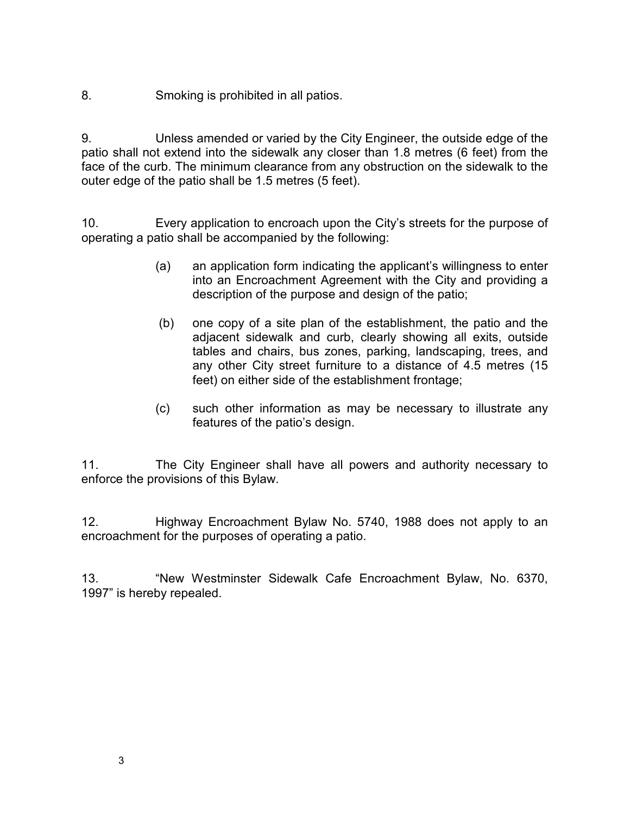8. Smoking is prohibited in all patios.

9. Unless amended or varied by the City Engineer, the outside edge of the patio shall not extend into the sidewalk any closer than 1.8 metres (6 feet) from the face of the curb. The minimum clearance from any obstruction on the sidewalk to the outer edge of the patio shall be 1.5 metres (5 feet).

10. Every application to encroach upon the City's streets for the purpose of operating a patio shall be accompanied by the following:

- (a) an application form indicating the applicant's willingness to enter into an Encroachment Agreement with the City and providing a description of the purpose and design of the patio;
- (b) one copy of a site plan of the establishment, the patio and the adjacent sidewalk and curb, clearly showing all exits, outside tables and chairs, bus zones, parking, landscaping, trees, and any other City street furniture to a distance of 4.5 metres (15 feet) on either side of the establishment frontage;
- (c) such other information as may be necessary to illustrate any features of the patio's design.

11. The City Engineer shall have all powers and authority necessary to enforce the provisions of this Bylaw.

12. Highway Encroachment Bylaw No. 5740, 1988 does not apply to an encroachment for the purposes of operating a patio.

13. "New Westminster Sidewalk Cafe Encroachment Bylaw, No. 6370, 1997" is hereby repealed.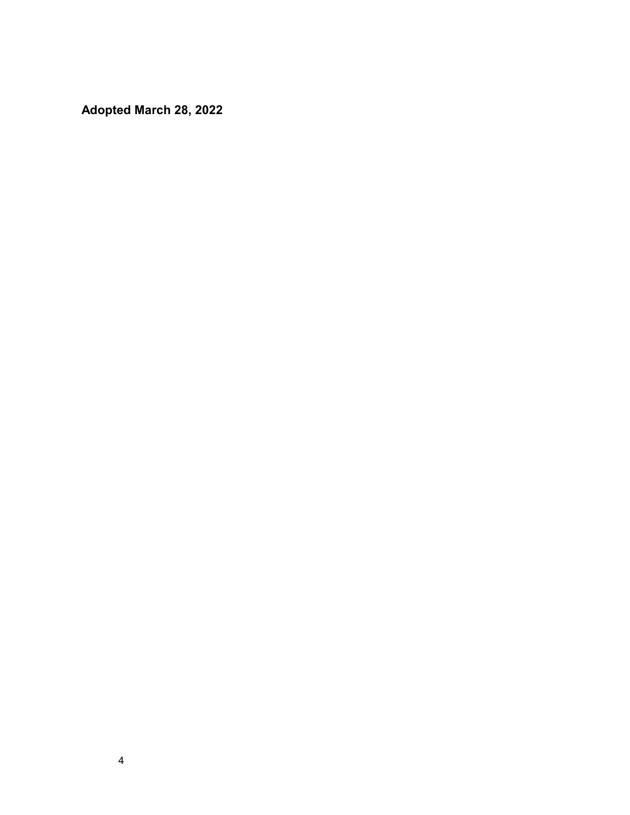**Adopted March 28, 2022**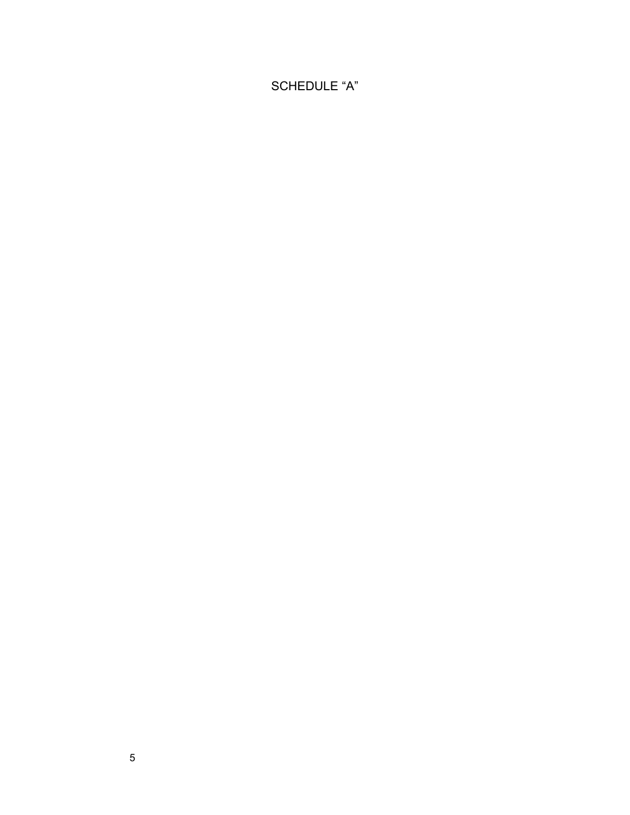# SCHEDULE "A"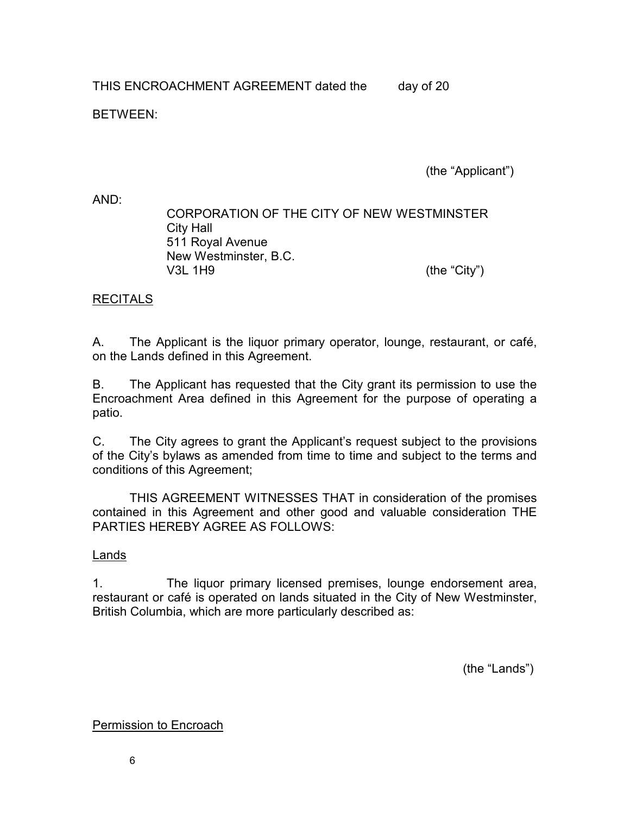THIS ENCROACHMENT AGREEMENT dated the day of 20

BETWEEN:

(the "Applicant")

AND:

CORPORATION OF THE CITY OF NEW WESTMINSTER City Hall 511 Royal Avenue New Westminster, B.C. V3L 1H9 (the "City")

## RECITALS

A. The Applicant is the liquor primary operator, lounge, restaurant, or café, on the Lands defined in this Agreement.

B. The Applicant has requested that the City grant its permission to use the Encroachment Area defined in this Agreement for the purpose of operating a patio.

C. The City agrees to grant the Applicant's request subject to the provisions of the City's bylaws as amended from time to time and subject to the terms and conditions of this Agreement;

THIS AGREEMENT WITNESSES THAT in consideration of the promises contained in this Agreement and other good and valuable consideration THE PARTIES HEREBY AGREE AS FOLLOWS:

## Lands

1. The liquor primary licensed premises, lounge endorsement area, restaurant or café is operated on lands situated in the City of New Westminster, British Columbia, which are more particularly described as:

(the "Lands")

Permission to Encroach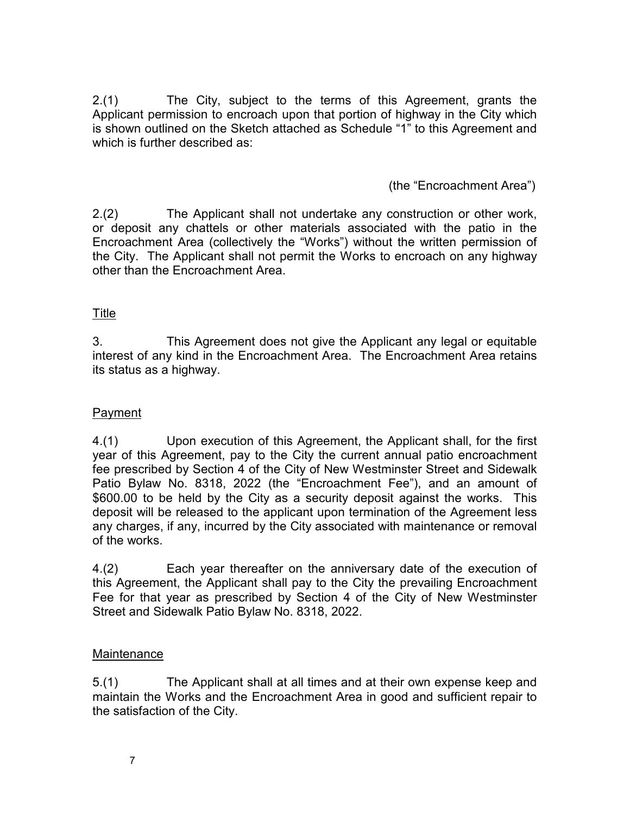2.(1) The City, subject to the terms of this Agreement, grants the Applicant permission to encroach upon that portion of highway in the City which is shown outlined on the Sketch attached as Schedule "1" to this Agreement and which is further described as:

## (the "Encroachment Area")

2.(2) The Applicant shall not undertake any construction or other work, or deposit any chattels or other materials associated with the patio in the Encroachment Area (collectively the "Works") without the written permission of the City. The Applicant shall not permit the Works to encroach on any highway other than the Encroachment Area.

## Title

3. This Agreement does not give the Applicant any legal or equitable interest of any kind in the Encroachment Area. The Encroachment Area retains its status as a highway.

### **Payment**

4.(1) Upon execution of this Agreement, the Applicant shall, for the first year of this Agreement, pay to the City the current annual patio encroachment fee prescribed by Section 4 of the City of New Westminster Street and Sidewalk Patio Bylaw No. 8318, 2022 (the "Encroachment Fee"), and an amount of \$600.00 to be held by the City as a security deposit against the works. This deposit will be released to the applicant upon termination of the Agreement less any charges, if any, incurred by the City associated with maintenance or removal of the works.

4.(2) Each year thereafter on the anniversary date of the execution of this Agreement, the Applicant shall pay to the City the prevailing Encroachment Fee for that year as prescribed by Section 4 of the City of New Westminster Street and Sidewalk Patio Bylaw No. 8318, 2022.

#### Maintenance

5.(1) The Applicant shall at all times and at their own expense keep and maintain the Works and the Encroachment Area in good and sufficient repair to the satisfaction of the City.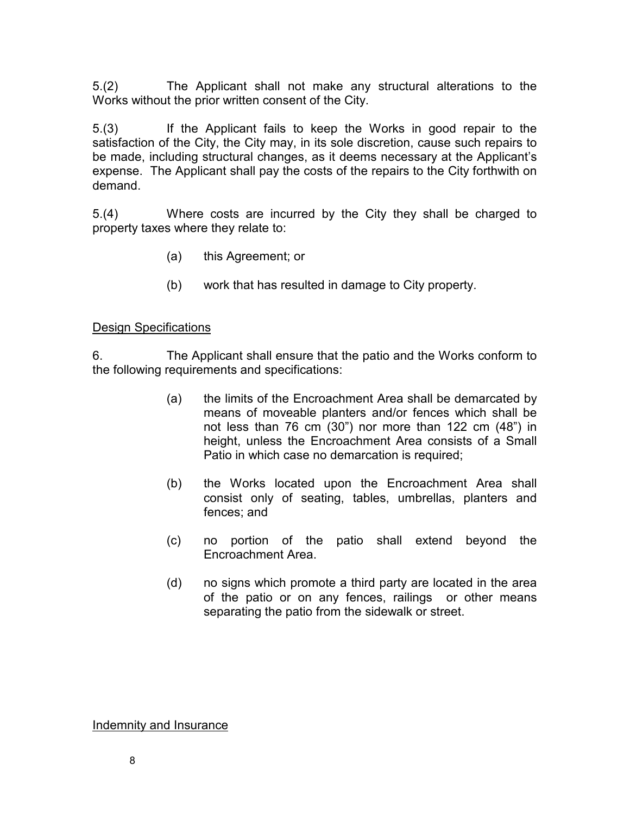5.(2) The Applicant shall not make any structural alterations to the Works without the prior written consent of the City.

5.(3) If the Applicant fails to keep the Works in good repair to the satisfaction of the City, the City may, in its sole discretion, cause such repairs to be made, including structural changes, as it deems necessary at the Applicant's expense. The Applicant shall pay the costs of the repairs to the City forthwith on demand.

5.(4) Where costs are incurred by the City they shall be charged to property taxes where they relate to:

- (a) this Agreement; or
- (b) work that has resulted in damage to City property.

#### Design Specifications

6. The Applicant shall ensure that the patio and the Works conform to the following requirements and specifications:

- (a) the limits of the Encroachment Area shall be demarcated by means of moveable planters and/or fences which shall be not less than 76 cm (30") nor more than 122 cm (48") in height, unless the Encroachment Area consists of a Small Patio in which case no demarcation is required;
- (b) the Works located upon the Encroachment Area shall consist only of seating, tables, umbrellas, planters and fences; and
- (c) no portion of the patio shall extend beyond the Encroachment Area.
- (d) no signs which promote a third party are located in the area of the patio or on any fences, railings or other means separating the patio from the sidewalk or street.

Indemnity and Insurance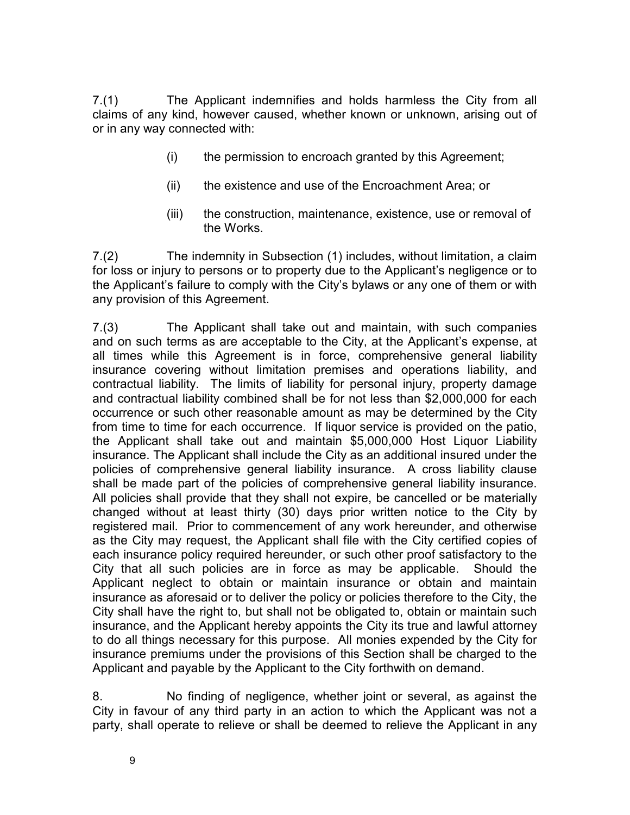7.(1) The Applicant indemnifies and holds harmless the City from all claims of any kind, however caused, whether known or unknown, arising out of or in any way connected with:

- (i) the permission to encroach granted by this Agreement;
- (ii) the existence and use of the Encroachment Area; or
- (iii) the construction, maintenance, existence, use or removal of the Works.

7.(2) The indemnity in Subsection (1) includes, without limitation, a claim for loss or injury to persons or to property due to the Applicant's negligence or to the Applicant's failure to comply with the City's bylaws or any one of them or with any provision of this Agreement.

7.(3) The Applicant shall take out and maintain, with such companies and on such terms as are acceptable to the City, at the Applicant's expense, at all times while this Agreement is in force, comprehensive general liability insurance covering without limitation premises and operations liability, and contractual liability. The limits of liability for personal injury, property damage and contractual liability combined shall be for not less than \$2,000,000 for each occurrence or such other reasonable amount as may be determined by the City from time to time for each occurrence. If liquor service is provided on the patio, the Applicant shall take out and maintain \$5,000,000 Host Liquor Liability insurance. The Applicant shall include the City as an additional insured under the policies of comprehensive general liability insurance. A cross liability clause shall be made part of the policies of comprehensive general liability insurance. All policies shall provide that they shall not expire, be cancelled or be materially changed without at least thirty (30) days prior written notice to the City by registered mail. Prior to commencement of any work hereunder, and otherwise as the City may request, the Applicant shall file with the City certified copies of each insurance policy required hereunder, or such other proof satisfactory to the City that all such policies are in force as may be applicable. Should the Applicant neglect to obtain or maintain insurance or obtain and maintain insurance as aforesaid or to deliver the policy or policies therefore to the City, the City shall have the right to, but shall not be obligated to, obtain or maintain such insurance, and the Applicant hereby appoints the City its true and lawful attorney to do all things necessary for this purpose. All monies expended by the City for insurance premiums under the provisions of this Section shall be charged to the Applicant and payable by the Applicant to the City forthwith on demand.

8. No finding of negligence, whether joint or several, as against the City in favour of any third party in an action to which the Applicant was not a party, shall operate to relieve or shall be deemed to relieve the Applicant in any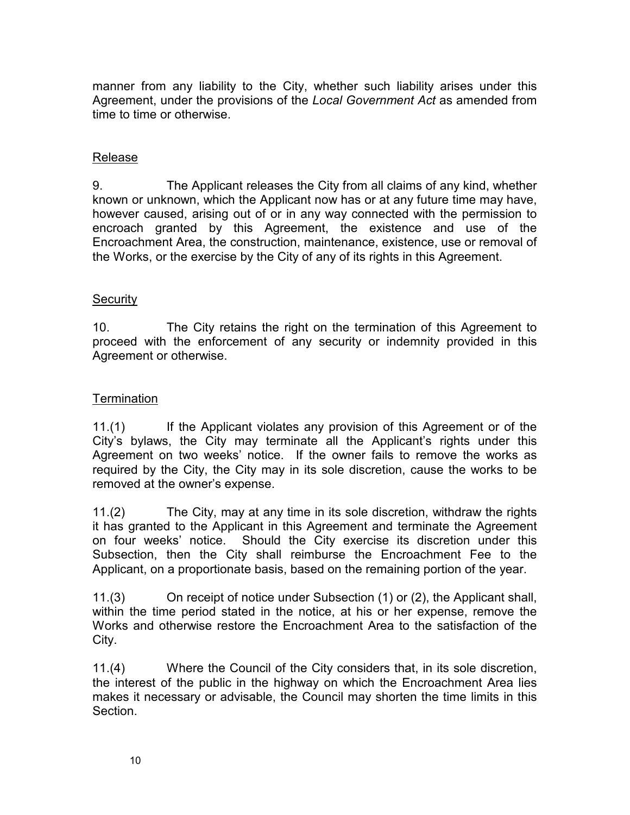manner from any liability to the City, whether such liability arises under this Agreement, under the provisions of the *Local Government Act* as amended from time to time or otherwise.

## Release

9. The Applicant releases the City from all claims of any kind, whether known or unknown, which the Applicant now has or at any future time may have, however caused, arising out of or in any way connected with the permission to encroach granted by this Agreement, the existence and use of the Encroachment Area, the construction, maintenance, existence, use or removal of the Works, or the exercise by the City of any of its rights in this Agreement.

## **Security**

10. The City retains the right on the termination of this Agreement to proceed with the enforcement of any security or indemnity provided in this Agreement or otherwise.

## **Termination**

11.(1) If the Applicant violates any provision of this Agreement or of the City's bylaws, the City may terminate all the Applicant's rights under this Agreement on two weeks' notice. If the owner fails to remove the works as required by the City, the City may in its sole discretion, cause the works to be removed at the owner's expense.

11.(2) The City, may at any time in its sole discretion, withdraw the rights it has granted to the Applicant in this Agreement and terminate the Agreement on four weeks' notice. Should the City exercise its discretion under this Subsection, then the City shall reimburse the Encroachment Fee to the Applicant, on a proportionate basis, based on the remaining portion of the year.

11.(3) On receipt of notice under Subsection (1) or (2), the Applicant shall, within the time period stated in the notice, at his or her expense, remove the Works and otherwise restore the Encroachment Area to the satisfaction of the City.

11.(4) Where the Council of the City considers that, in its sole discretion, the interest of the public in the highway on which the Encroachment Area lies makes it necessary or advisable, the Council may shorten the time limits in this Section.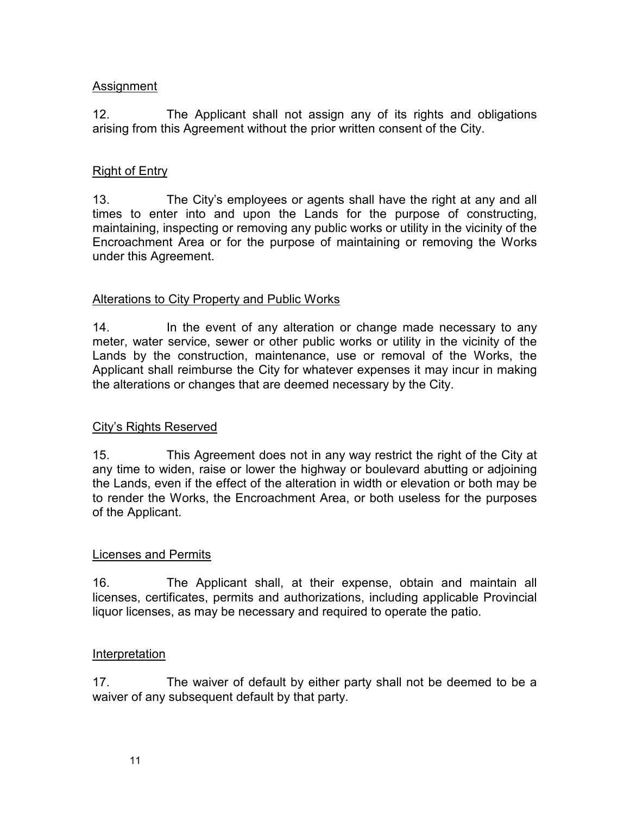#### Assignment

12. The Applicant shall not assign any of its rights and obligations arising from this Agreement without the prior written consent of the City.

## Right of Entry

13. The City's employees or agents shall have the right at any and all times to enter into and upon the Lands for the purpose of constructing, maintaining, inspecting or removing any public works or utility in the vicinity of the Encroachment Area or for the purpose of maintaining or removing the Works under this Agreement.

## Alterations to City Property and Public Works

14. In the event of any alteration or change made necessary to any meter, water service, sewer or other public works or utility in the vicinity of the Lands by the construction, maintenance, use or removal of the Works, the Applicant shall reimburse the City for whatever expenses it may incur in making the alterations or changes that are deemed necessary by the City.

#### City's Rights Reserved

15. This Agreement does not in any way restrict the right of the City at any time to widen, raise or lower the highway or boulevard abutting or adjoining the Lands, even if the effect of the alteration in width or elevation or both may be to render the Works, the Encroachment Area, or both useless for the purposes of the Applicant.

#### Licenses and Permits

16. The Applicant shall, at their expense, obtain and maintain all licenses, certificates, permits and authorizations, including applicable Provincial liquor licenses, as may be necessary and required to operate the patio.

#### **Interpretation**

17. The waiver of default by either party shall not be deemed to be a waiver of any subsequent default by that party.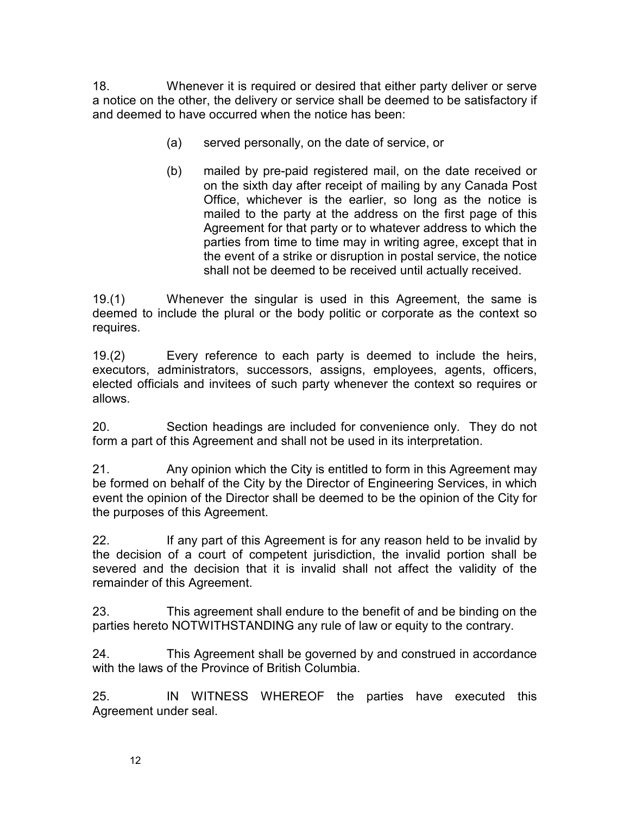18. Whenever it is required or desired that either party deliver or serve a notice on the other, the delivery or service shall be deemed to be satisfactory if and deemed to have occurred when the notice has been:

- (a) served personally, on the date of service, or
- (b) mailed by pre-paid registered mail, on the date received or on the sixth day after receipt of mailing by any Canada Post Office, whichever is the earlier, so long as the notice is mailed to the party at the address on the first page of this Agreement for that party or to whatever address to which the parties from time to time may in writing agree, except that in the event of a strike or disruption in postal service, the notice shall not be deemed to be received until actually received.

19.(1) Whenever the singular is used in this Agreement, the same is deemed to include the plural or the body politic or corporate as the context so requires.

19.(2) Every reference to each party is deemed to include the heirs, executors, administrators, successors, assigns, employees, agents, officers, elected officials and invitees of such party whenever the context so requires or allows.

20. Section headings are included for convenience only. They do not form a part of this Agreement and shall not be used in its interpretation.

21. Any opinion which the City is entitled to form in this Agreement may be formed on behalf of the City by the Director of Engineering Services, in which event the opinion of the Director shall be deemed to be the opinion of the City for the purposes of this Agreement.

22. If any part of this Agreement is for any reason held to be invalid by the decision of a court of competent jurisdiction, the invalid portion shall be severed and the decision that it is invalid shall not affect the validity of the remainder of this Agreement.

23. This agreement shall endure to the benefit of and be binding on the parties hereto NOTWITHSTANDING any rule of law or equity to the contrary.

24. This Agreement shall be governed by and construed in accordance with the laws of the Province of British Columbia.

25. IN WITNESS WHEREOF the parties have executed this Agreement under seal.

12